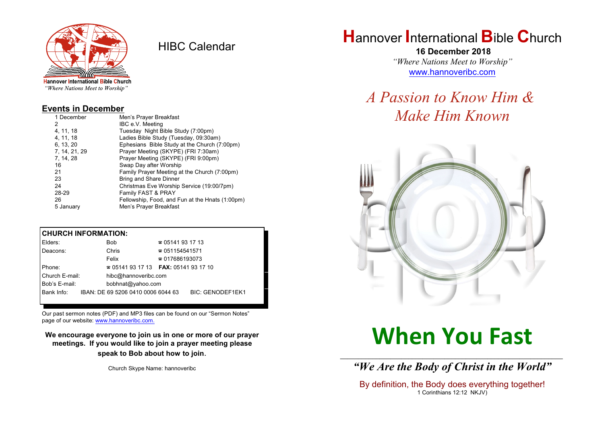

HIBC Calendar

**Hannover International Bible Church** "Where Nations Meet to Worship"

#### **Events in December**

| 1 December    | Men's Prayer Breakfast                          |  |  |
|---------------|-------------------------------------------------|--|--|
| 2             | IBC e.V. Meeting                                |  |  |
| 4, 11, 18     | Tuesday Night Bible Study (7:00pm)              |  |  |
| 4.11.18       | Ladies Bible Study (Tuesday, 09:30am)           |  |  |
| 6, 13, 20     | Ephesians Bible Study at the Church (7:00pm)    |  |  |
| 7, 14, 21, 29 | Prayer Meeting (SKYPE) (FRI 7:30am)             |  |  |
| 7, 14, 28     | Prayer Meeting (SKYPE) (FRI 9:00pm)             |  |  |
| 16            | Swap Day after Worship                          |  |  |
| 21            | Family Prayer Meeting at the Church (7:00pm)    |  |  |
| 23            | Bring and Share Dinner                          |  |  |
| 24            | Christmas Eve Worship Service (19:00/7pm)       |  |  |
| 28-29         | Family FAST & PRAY                              |  |  |
| 26            | Fellowship, Food, and Fun at the Hnats (1:00pm) |  |  |
| 5 Januarv     | Men's Prayer Breakfast                          |  |  |

#### **CHURCH INFORMATION:**

| Elders:        | Bob.                                          | $\approx 05141931713$  |                  |  |
|----------------|-----------------------------------------------|------------------------|------------------|--|
| Deacons:       | Chris                                         | $\approx 051154541571$ |                  |  |
|                | Felix                                         | $\approx 017686193073$ |                  |  |
| Phone:         | $\approx 05141931713$ FAX: 0514193 17 10      |                        |                  |  |
| Church E-mail: | hibc@hannoveribc.com                          |                        |                  |  |
| Bob's E-mail:  | bobhnat@yahoo.com                             |                        |                  |  |
|                | Bank Info: IBAN: DE 69 5206 0410 0006 6044 63 |                        | BIC: GENODEF1EK1 |  |
|                |                                               |                        |                  |  |

Our past sermon notes (PDF) and MP3 files can be found on our "Sermon Notes" page of our website: [www.hannoveribc.com.](http://www.hannoveribc.com.)

**We encourage everyone to join us in one or more of our prayer meetings. If you would like to join a prayer meeting please speak to Bob about how to join**.

Church Skype Name: hannoveribc

## **H**annover **I**nternational **B**ible **C**hurch

 **16 December 2018** *"Where Nations Meet to Worship"* [www.hannoveribc.com](http://www.hannoveribc.com)

## *A Passion to Know Him & Make Him Known*



# **When You Fast**

\_\_\_\_\_\_\_\_\_\_\_\_\_\_\_\_\_\_\_\_\_\_\_\_\_\_\_\_\_\_\_\_\_\_\_\_\_\_\_\_\_\_\_\_\_\_\_\_\_\_\_\_\_\_\_\_\_\_\_\_\_\_ *"We Are the Body of Christ in the World"*

By definition, the Body does everything together! 1 Corinthians 12:12 NKJV)